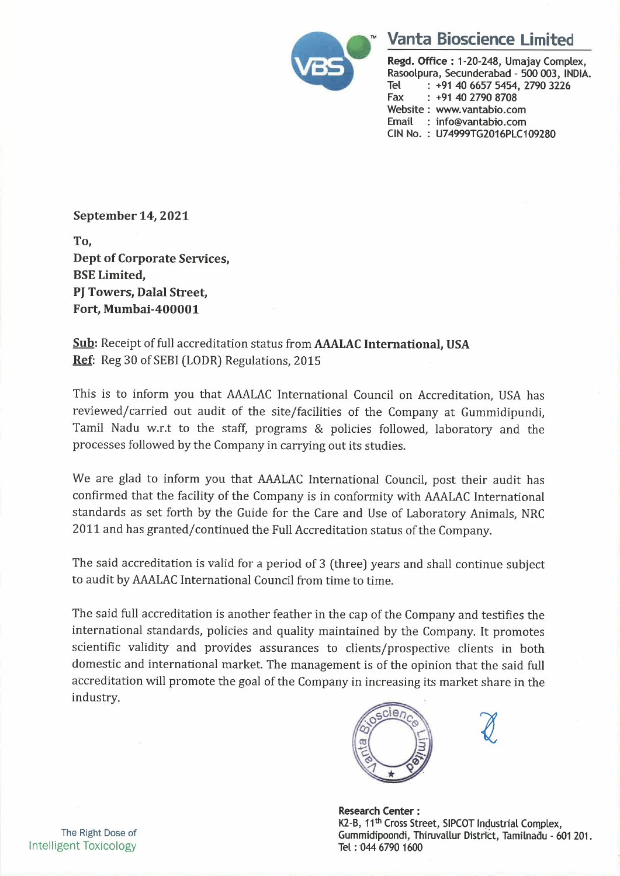

## Vanta Bioscience Limited <u>Vanta Bioscie</u>

Regd. Office : 1-20-248, Umajay Complex, Rasoolpura, Secunderabad - 500 003, INDIA. Tel : +91 40 6657 5454, 2790 3226 Fax : +91 40 2790 8708 Website : www.vantabio.com Email : info@vantabio.com CIN No. : U74999TG2016PLC 109280

September 14, 2021

To, Dept of Corporate Services, BSE Limited, PJ Towers, Dalal Street, Fort, Mumbai-400001

Sub: Receipt of full accreditation status from **AAALAC International, USA** Ref: Reg 30 of SEBI (LODR) Regulations, 2015

This is to inform you that AAALAC International Council on Accreditation, USA has reviewed/carried out audit of the site/facilities of the Company at Gummidipundi, Tamil Nadu w.r.t to the staff, programs & policies followed, laboratory and the processes followed by the Company in carrying out its studies.

We are glad to inform you that AAALAC International Council, post their audit has confirmed that the facility of the Company is in conformity with AAALAC International standards as set forth by the Guide for the Care and Use of Laboratory Animals, NRC 2011 and has granted/continued the Full Accreditation status of the Company.

The said accreditation is valid for a period of 3 (three) years and shall continue subject to audit by AAALAC International Council from time to time.

The said full accreditation is another feather in the cap of the Company and testifies the international standards, policies and quality maintained by the Company. It promotes scientific validity and provides assurances to clients/prospective clients in both domestic and international market. The management is of the opinion that the said full accreditation will promote the goal of the Company in increasing its market share in the industry.



search Ce<br>-B, 11<sup>th</sup> C⊥<br>mmidipoc<br>∴ 044 679 Research Center : K2-B, 11<sup>th</sup> Cross Street, SIPCOT Industrial Complex, The Right Dose of Gummidipoondi, Thiruvallur District, Tamilnadu - 601 201.

Intelligent Toxicology Tel: 044 6790 1600